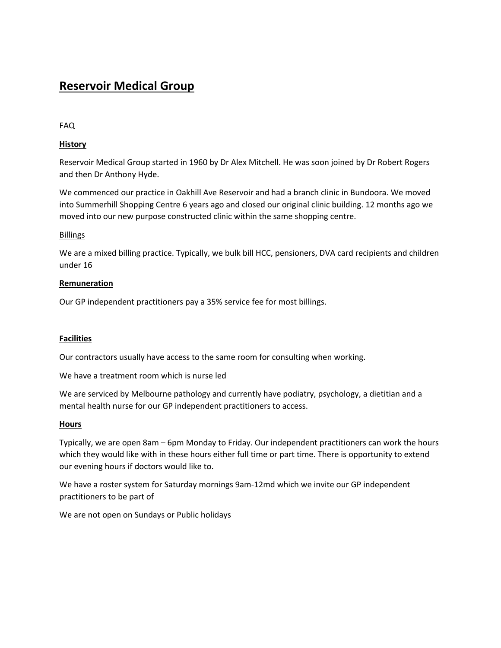# **Reservoir Medical Group**

FAQ

## **History**

Reservoir Medical Group started in 1960 by Dr Alex Mitchell. He was soon joined by Dr Robert Rogers and then Dr Anthony Hyde.

We commenced our practice in Oakhill Ave Reservoir and had a branch clinic in Bundoora. We moved into Summerhill Shopping Centre 6 years ago and closed our original clinic building. 12 months ago we moved into our new purpose constructed clinic within the same shopping centre.

## Billings

We are a mixed billing practice. Typically, we bulk bill HCC, pensioners, DVA card recipients and children under 16

## **Remuneration**

Our GP independent practitioners pay a 35% service fee for most billings.

## **Facilities**

Our contractors usually have access to the same room for consulting when working.

We have a treatment room which is nurse led

We are serviced by Melbourne pathology and currently have podiatry, psychology, a dietitian and a mental health nurse for our GP independent practitioners to access.

## **Hours**

Typically, we are open 8am – 6pm Monday to Friday. Our independent practitioners can work the hours which they would like with in these hours either full time or part time. There is opportunity to extend our evening hours if doctors would like to.

We have a roster system for Saturday mornings 9am-12md which we invite our GP independent practitioners to be part of

We are not open on Sundays or Public holidays